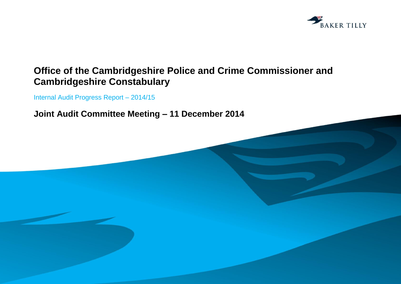

# **Office of the Cambridgeshire Police and Crime Commissioner and Cambridgeshire Constabulary**

Internal Audit Progress Report – 2014/15

**Joint Audit Committee Meeting – 11 December 2014**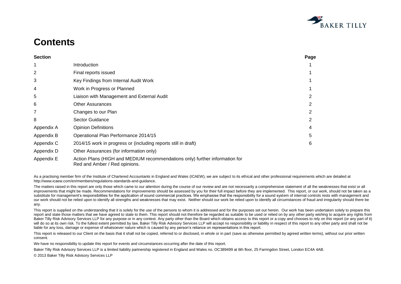

# **Contents**

| <b>Section</b> |                                                                                         | Page |
|----------------|-----------------------------------------------------------------------------------------|------|
|                | Introduction                                                                            |      |
| 2              | Final reports issued                                                                    |      |
| 3              | Key Findings from Internal Audit Work                                                   |      |
| 4              | Work in Progress or Planned                                                             |      |
| 5              | Liaison with Management and External Audit                                              |      |
| 6              | <b>Other Assurances</b>                                                                 | 2    |
|                | Changes to our Plan                                                                     |      |
| 8              | Sector Guidance                                                                         | 2    |
| Appendix A     | <b>Opinion Definitions</b>                                                              | 4    |
| Appendix B     | Operational Plan Performance 2014/15                                                    | 5    |
| Appendix C     | 2014/15 work in progress or (including reports still in draft)                          | 6    |
| Appendix D     | Other Assurances (for information only)                                                 |      |
| $A - A - A$    | $\Delta$ etian Dlana (UICU and MEDIUM resentencedetians and i.) further infermetian for |      |

Appendix E Action Plans (HIGH and MEDIUM recommendations only) further information for Red and Amber / Red opinions.

As a practising member firm of the Institute of Chartered Accountants in England and Wales (ICAEW), we are subject to its ethical and other professional requirements which are detailed at http://www.icaew.com/en/members/regulations-standards-and-guidance.

The matters raised in this report are only those which came to our attention during the course of our review and are not necessarily a comprehensive statement of all the weaknesses that exist or all improvements that might be made. Recommendations for improvements should be assessed by you for their full impact before they are implemented. This report, or our work, should not be taken as a substitute for management's responsibilities for the application of sound commercial practices. We emphasise that the responsibility for a sound system of internal controls rests with management and our work should not be relied upon to identify all strengths and weaknesses that may exist. Neither should our work be relied upon to identify all circumstances of fraud and irregularity should there be any.

This report is supplied on the understanding that it is solely for the use of the persons to whom it is addressed and for the purposes set out herein. Our work has been undertaken solely to prepare this report and state those matters that we have agreed to state to them. This report should not therefore be regarded as suitable to be used or relied on by any other party wishing to acquire any rights from Baker Tilly Risk Advisory Services LLP for any purpose or in any context. Any party other than the Board which obtains access to this report or a copy and chooses to rely on this report (or any part of it) will do so at its own risk. To the fullest extent permitted by law, Baker Tilly Risk Advisory Services LLP will accept no responsibility or liability in respect of this report to any other party and shall not be liable for any loss, damage or expense of whatsoever nature which is caused by any person's reliance on representations in this report.

This report is released to our Client on the basis that it shall not be copied, referred to or disclosed, in whole or in part (save as otherwise permitted by agreed written terms), without our prior written consent.

We have no responsibility to update this report for events and circumstances occurring after the date of this report.

Baker Tilly Risk Advisory Services LLP is a limited liability partnership registered in England and Wales no. OC389499 at 6th floor, 25 Farringdon Street, London EC4A 4AB.

© 2013 Baker Tilly Risk Advisory Services LLP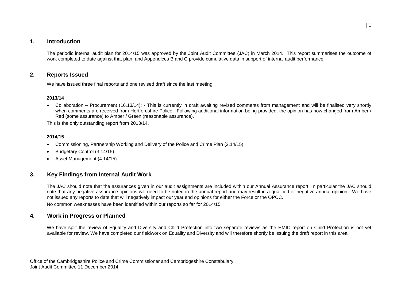## **1. Introduction**

The periodic internal audit plan for 2014/15 was approved by the Joint Audit Committee (JAC) in March 2014. This report summarises the outcome of work completed to date against that plan, and Appendices B and C provide cumulative data in support of internal audit performance.

#### **2. Reports Issued**

We have issued three final reports and one revised draft since the last meeting:

#### **2013/14**

 Collaboration – Procurement (16.13/14); - This is currently in draft awaiting revised comments from management and will be finalised very shortly when comments are received from Hertfordshire Police. Following additional information being provided, the opinion has now changed from Amber / Red (some assurance) to Amber / Green (reasonable assurance).

This is the only outstanding report from 2013/14.

#### **2014/15**

- Commissioning, Partnership Working and Delivery of the Police and Crime Plan (2.14/15)
- Budgetary Control (3.14/15)
- Asset Management (4.14/15)

## **3. Key Findings from Internal Audit Work**

The JAC should note that the assurances given in our audit assignments are included within our Annual Assurance report. In particular the JAC should note that any negative assurance opinions will need to be noted in the annual report and may result in a qualified or negative annual opinion. We have not issued any reports to date that will negatively impact our year end opinions for either the Force or the OPCC.

No common weaknesses have been identified within our reports so far for 2014/15.

## **4. Work in Progress or Planned**

We have split the review of Equality and Diversity and Child Protection into two separate reviews as the HMIC report on Child Protection is not yet available for review. We have completed our fieldwork on Equality and Diversity and will therefore shortly be issuing the draft report in this area.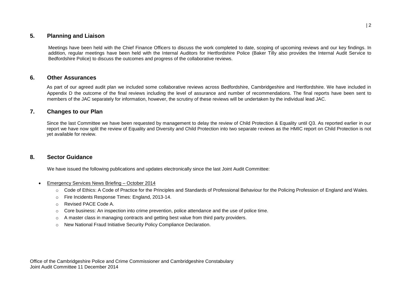## **5. Planning and Liaison**

Meetings have been held with the Chief Finance Officers to discuss the work completed to date, scoping of upcoming reviews and our key findings. In addition, regular meetings have been held with the Internal Auditors for Hertfordshire Police (Baker Tilly also provides the Internal Audit Service to Bedfordshire Police) to discuss the outcomes and progress of the collaborative reviews.

#### **6. Other Assurances**

As part of our agreed audit plan we included some collaborative reviews across Bedfordshire, Cambridgeshire and Hertfordshire. We have included in Appendix D the outcome of the final reviews including the level of assurance and number of recommendations. The final reports have been sent to members of the JAC separately for information, however, the scrutiny of these reviews will be undertaken by the individual lead JAC.

## **7. Changes to our Plan**

Since the last Committee we have been requested by management to delay the review of Child Protection & Equality until Q3. As reported earlier in our report we have now split the review of Equality and Diversity and Child Protection into two separate reviews as the HMIC report on Child Protection is not yet available for review.

#### **8. Sector Guidance**

We have issued the following publications and updates electronically since the last Joint Audit Committee:

- Emergency Services News Briefing October 2014
	- o Code of Ethics: A Code of Practice for the Principles and Standards of Professional Behaviour for the Policing Profession of England and Wales.
	- o Fire Incidents Response Times: England, 2013-14.
	- o Revised PACE Code A.
	- $\circ$  Core business: An inspection into crime prevention, police attendance and the use of police time.
	- o A master class in managing contracts and getting best value from third party providers.
	- o New National Fraud Initiative Security Policy Compliance Declaration.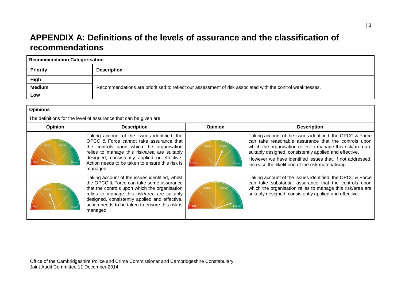## **APPENDIX A: Definitions of the levels of assurance and the classification of recommendations**

| <b>Recommendation Categorisation</b> |                                                                                                           |  |  |  |  |
|--------------------------------------|-----------------------------------------------------------------------------------------------------------|--|--|--|--|
| <b>Priority</b>                      | <b>Description</b>                                                                                        |  |  |  |  |
| High                                 |                                                                                                           |  |  |  |  |
| <b>Medium</b>                        | Recommendations are prioritised to reflect our assessment of risk associated with the control weaknesses. |  |  |  |  |
| Low                                  |                                                                                                           |  |  |  |  |

| <b>Opinions</b>                                                   |                                                                                                                                                                                                                                                                                                              |                      |                                                                                                                                                                                                                                                                                                                                                              |  |  |  |  |  |
|-------------------------------------------------------------------|--------------------------------------------------------------------------------------------------------------------------------------------------------------------------------------------------------------------------------------------------------------------------------------------------------------|----------------------|--------------------------------------------------------------------------------------------------------------------------------------------------------------------------------------------------------------------------------------------------------------------------------------------------------------------------------------------------------------|--|--|--|--|--|
| The definitions for the level of assurance that can be given are: |                                                                                                                                                                                                                                                                                                              |                      |                                                                                                                                                                                                                                                                                                                                                              |  |  |  |  |  |
| <b>Opinion</b>                                                    | <b>Description</b>                                                                                                                                                                                                                                                                                           | Opinion              | <b>Description</b>                                                                                                                                                                                                                                                                                                                                           |  |  |  |  |  |
|                                                                   | Taking account of the issues identified, the<br>OPCC & Force cannot take assurance that<br>the controls upon which the organisation<br>relies to manage this risk/area are suitably<br>designed, consistently applied or effective.<br>Action needs to be taken to ensure this risk is<br>managed.           | Ambe<br>Red<br>Greer | Taking account of the issues identified, the OPCC & Force<br>can take reasonable assurance that the controls upon<br>which the organisation relies to manage this risk/area are<br>suitably designed, consistently applied and effective.<br>However we have identified issues that, if not addressed,<br>increase the likelihood of the risk materialising. |  |  |  |  |  |
|                                                                   | Taking account of the issues identified, whilst<br>the OPCC & Force can take some assurance<br>that the controls upon which the organisation<br>relies to manage this risk/area are suitably<br>designed, consistently applied and effective,<br>action needs to be taken to ensure this risk is<br>managed. | Ambe<br>Red          | Taking account of the issues identified, the OPCC & Force<br>can take substantial assurance that the controls upon<br>which the organisation relies to manage this risk/area are<br>suitably designed, consistently applied and effective.                                                                                                                   |  |  |  |  |  |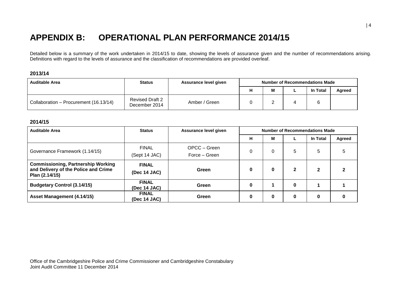## **APPENDIX B: OPERATIONAL PLAN PERFORMANCE 2014/15**

Detailed below is a summary of the work undertaken in 2014/15 to date, showing the levels of assurance given and the number of recommendations arising. Definitions with regard to the levels of assurance and the classification of recommendations are provided overleaf.

#### **2013/14**

| <b>Auditable Area</b>                  | <b>Status</b>                           | Assurance level given | <b>Number of Recommendations Made</b> |          |          |        |
|----------------------------------------|-----------------------------------------|-----------------------|---------------------------------------|----------|----------|--------|
|                                        |                                         |                       |                                       | M        | In Total | Agreed |
| Collaboration - Procurement (16.13/14) | <b>Revised Draft 2</b><br>December 2014 | Amber / Green         |                                       | <u>_</u> |          |        |

#### **2014/15**

| <b>Auditable Area</b>                                                                               | <b>Status</b>                 | Assurance level given         | Number of Recommendations Made |   |              |          |        |
|-----------------------------------------------------------------------------------------------------|-------------------------------|-------------------------------|--------------------------------|---|--------------|----------|--------|
|                                                                                                     |                               |                               | н                              | M |              | In Total | Agreed |
| Governance Framework (1.14/15)                                                                      | <b>FINAL</b><br>(Sept 14 JAC) | OPCC – Green<br>Force – Green | 0                              | 0 | 5            | 5        | 5      |
| <b>Commissioning, Partnership Working</b><br>and Delivery of the Police and Crime<br>Plan (2.14/15) | <b>FINAL</b><br>(Dec 14 JAC)  | Green                         | 0                              | 0 | $\mathbf{2}$ | 2        | 2      |
| <b>Budgetary Control (3.14/15)</b>                                                                  | <b>FINAL</b><br>(Dec 14 JAC)  | Green                         | 0                              |   | $\bf{0}$     |          |        |
| Asset Management (4.14/15)                                                                          | <b>FINAL</b><br>(Dec 14 JAC)  | Green                         | 0                              | 0 | 0            | 0        | 0      |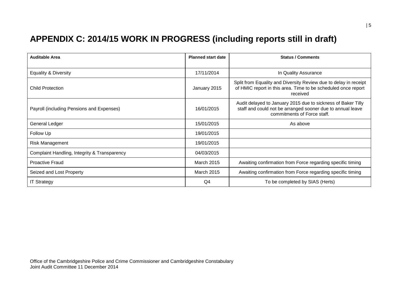# **APPENDIX C: 2014/15 WORK IN PROGRESS (including reports still in draft)**

| <b>Auditable Area</b>                        | <b>Planned start date</b> | <b>Status / Comments</b>                                                                                                                                  |
|----------------------------------------------|---------------------------|-----------------------------------------------------------------------------------------------------------------------------------------------------------|
|                                              |                           |                                                                                                                                                           |
| <b>Equality &amp; Diversity</b>              | 17/11/2014                | In Quality Assurance                                                                                                                                      |
| <b>Child Protection</b>                      | January 2015              | Split from Equality and Diversity Review due to delay in receipt<br>of HMIC report in this area. Time to be scheduled once report<br>received             |
| Payroll (including Pensions and Expenses)    | 16/01/2015                | Audit delayed to January 2015 due to sickness of Baker Tilly<br>staff and could not be arranged sooner due to annual leave<br>commitments of Force staff. |
| General Ledger                               | 15/01/2015                | As above                                                                                                                                                  |
| Follow Up                                    | 19/01/2015                |                                                                                                                                                           |
| Risk Management                              | 19/01/2015                |                                                                                                                                                           |
| Complaint Handling, Integrity & Transparency | 04/03/2015                |                                                                                                                                                           |
| <b>Proactive Fraud</b>                       | <b>March 2015</b>         | Awaiting confirmation from Force regarding specific timing                                                                                                |
| Seized and Lost Property                     | <b>March 2015</b>         | Awaiting confirmation from Force regarding specific timing                                                                                                |
| <b>IT Strategy</b>                           | Q4                        | To be completed by SIAS (Herts)                                                                                                                           |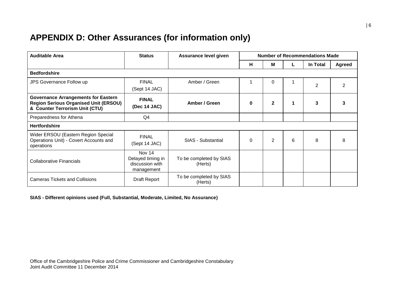## **APPENDIX D: Other Assurances (for information only)**

| <b>Auditable Area</b>                                                                                                        | <b>Status</b>                                                | Assurance level given              | <b>Number of Recommendations Made</b> |                |   |                |               |
|------------------------------------------------------------------------------------------------------------------------------|--------------------------------------------------------------|------------------------------------|---------------------------------------|----------------|---|----------------|---------------|
|                                                                                                                              |                                                              |                                    | H                                     | м              |   | In Total       | <b>Agreed</b> |
| <b>Bedfordshire</b>                                                                                                          |                                                              |                                    |                                       |                |   |                |               |
| JPS Governance Follow up                                                                                                     | <b>FINAL</b><br>(Sept 14 JAC)                                | Amber / Green                      |                                       | $\Omega$       |   | $\overline{2}$ |               |
| <b>Governance Arrangements for Eastern</b><br><b>Region Serious Organised Unit (ERSOU)</b><br>& Counter Terrorism Unit (CTU) | <b>FINAL</b><br>(Dec 14 JAC)                                 | Amber / Green                      | $\bf{0}$                              | $\mathbf{2}$   |   | 3              |               |
| Preparedness for Athena                                                                                                      | Q4                                                           |                                    |                                       |                |   |                |               |
| <b>Hertfordshire</b>                                                                                                         |                                                              |                                    |                                       |                |   |                |               |
| Wider ERSOU (Eastern Region Special<br>Operations Unit) - Covert Accounts and<br>operations                                  | <b>FINAL</b><br>(Sept 14 JAC)                                | SIAS - Substantial                 | $\Omega$                              | $\overline{2}$ | 6 | 8              | 8             |
| Collaborative Financials                                                                                                     | Nov 14<br>Delayed timing in<br>discussion with<br>management | To be completed by SIAS<br>(Herts) |                                       |                |   |                |               |
| <b>Cameras Tickets and Collisions</b>                                                                                        | Draft Report                                                 | To be completed by SIAS<br>(Herts) |                                       |                |   |                |               |

#### **SIAS - Different opinions used (Full, Substantial, Moderate, Limited, No Assurance)**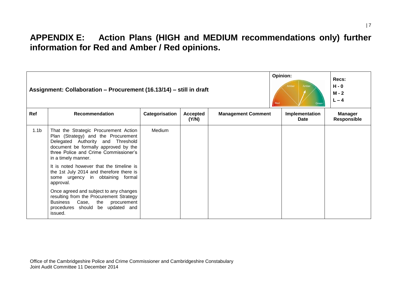## **APPENDIX E: Action Plans (HIGH and MEDIUM recommendations only) further information for Red and Amber / Red opinions.**

|                  | Assignment: Collaboration – Procurement (16.13/14) – still in draft                                                                                                                                                       | Opinion:<br>Amber<br>Ambe<br>Red<br>Green | Recs:<br>$H - 0$<br>$M - 2$<br>$L - 4$ |                           |                        |                                      |
|------------------|---------------------------------------------------------------------------------------------------------------------------------------------------------------------------------------------------------------------------|-------------------------------------------|----------------------------------------|---------------------------|------------------------|--------------------------------------|
| Ref              | <b>Recommendation</b>                                                                                                                                                                                                     | Categorisation                            | <b>Accepted</b><br>(Y/N)               | <b>Management Comment</b> | Implementation<br>Date | <b>Manager</b><br><b>Responsible</b> |
| 1.1 <sub>b</sub> | That the Strategic Procurement Action<br>Plan (Strategy) and the Procurement<br>Delegated Authority and Threshold<br>document be formally approved by the<br>three Police and Crime Commissioner's<br>in a timely manner. | Medium                                    |                                        |                           |                        |                                      |
|                  | It is noted however that the timeline is<br>the 1st July 2014 and therefore there is<br>some urgency in obtaining formal<br>approval.                                                                                     |                                           |                                        |                           |                        |                                      |
|                  | Once agreed and subject to any changes<br>resulting from the Procurement Strategy<br>Business Case, the procurement<br>procedures should be updated and<br>issued.                                                        |                                           |                                        |                           |                        |                                      |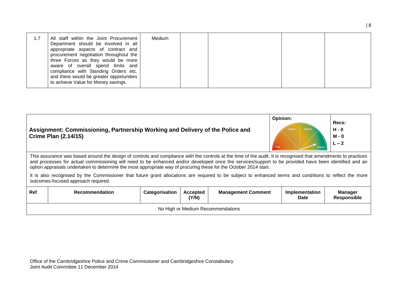| 1.7 | All staff within the Joint Procurement<br>Department should be involved in all<br>appropriate aspects of contract and<br>procurement negotiation throughout the<br>three Forces as they would be more<br>aware of overall spend limits and<br>compliance with Standing Orders etc.<br>and there would be greater opportunities<br>to achieve Value for Money savings. | Medium |  |  |  |
|-----|-----------------------------------------------------------------------------------------------------------------------------------------------------------------------------------------------------------------------------------------------------------------------------------------------------------------------------------------------------------------------|--------|--|--|--|
|-----|-----------------------------------------------------------------------------------------------------------------------------------------------------------------------------------------------------------------------------------------------------------------------------------------------------------------------------------------------------------------------|--------|--|--|--|

|            | Assignment: Commissioning, Partnership Working and Delivery of the Police and<br><b>Crime Plan (2.14/15)</b>                                                                                                                                                                                                                                                                                                                                  | Opinion:<br>Ambe<br>Amber<br>Red | Recs:<br>$H - 0$<br>$M - 0$<br>$L - 2$ |                           |                               |                               |  |  |  |  |
|------------|-----------------------------------------------------------------------------------------------------------------------------------------------------------------------------------------------------------------------------------------------------------------------------------------------------------------------------------------------------------------------------------------------------------------------------------------------|----------------------------------|----------------------------------------|---------------------------|-------------------------------|-------------------------------|--|--|--|--|
|            | This assurance was based around the design of controls and compliance with the controls at the time of the audit. It is recognised that amendments to practices<br>and processes for actual commissioning will need to be enhanced and/or developed once the services/support to be provided have been identified and an<br>option appraisals undertaken to determine the most appropriate way of procuring these for the October 2014 start. |                                  |                                        |                           |                               |                               |  |  |  |  |
|            | It is also recognised by the Commissioner that future grant allocations are required to be subject to enhanced terms and conditions to reflect the more<br>outcomes-focused approach required.                                                                                                                                                                                                                                                |                                  |                                        |                           |                               |                               |  |  |  |  |
| <b>Ref</b> | <b>Recommendation</b>                                                                                                                                                                                                                                                                                                                                                                                                                         | Categorisation                   | <b>Accepted</b><br>(Y/N)               | <b>Management Comment</b> | Implementation<br><b>Date</b> | <b>Manager</b><br>Responsible |  |  |  |  |
|            | No High or Medium Recommendations                                                                                                                                                                                                                                                                                                                                                                                                             |                                  |                                        |                           |                               |                               |  |  |  |  |